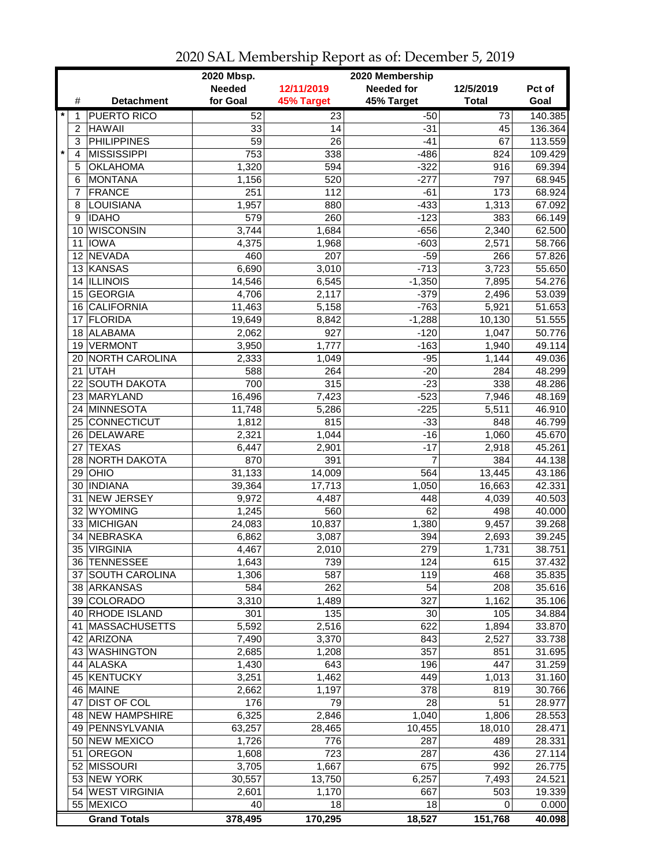|                |                       | 2020 Mbsp.      |                 | 2020 Membership   |                  |         |
|----------------|-----------------------|-----------------|-----------------|-------------------|------------------|---------|
|                |                       | <b>Needed</b>   | 12/11/2019      | <b>Needed for</b> | 12/5/2019        | Pct of  |
| #              | <b>Detachment</b>     | for Goal        | 45% Target      | 45% Target        | <b>Total</b>     | Goal    |
| $\star$<br>1   | <b>PUERTO RICO</b>    | 52              | 23              | $-50$             | $\overline{73}$  | 140.385 |
| $\overline{c}$ | <b>HAWAII</b>         | 33              | 14              | $-31$             | 45               | 136.364 |
| 3              | <b>PHILIPPINES</b>    | $\overline{59}$ | $\overline{26}$ | $-41$             | 67               | 113.559 |
| $\star$<br>4   | <b>MISSISSIPPI</b>    | 753             | 338             | $-486$            | $\overline{824}$ | 109.429 |
| 5              | <b>OKLAHOMA</b>       | 1,320           | 594             | $-322$            | 916              | 69.394  |
| 6              | <b>MONTANA</b>        | 1,156           | 520             | $-277$            | 797              | 68.945  |
| 7              | <b>FRANCE</b>         | 251             | 112             | $-61$             | 173              | 68.924  |
| 8              | LOUISIANA             | 1,957           | 880             | $-433$            | 1,313            | 67.092  |
| 9              | <b>IDAHO</b>          | 579             | 260             | $-123$            | 383              | 66.149  |
| 10             | <b>WISCONSIN</b>      | 3,744           | 1,684           | $-656$            | 2,340            | 62.500  |
| 11             | <b>IOWA</b>           | 4,375           | 1,968           | $-603$            | 2,571            | 58.766  |
| 12             | <b>NEVADA</b>         | 460             | 207             | $-59$             | 266              | 57.826  |
| 13             | KANSAS                | 6,690           | 3,010           | $-713$            | 3,723            | 55.650  |
| 14             | <b>ILLINOIS</b>       | 14,546          | 6,545           | $-1,350$          | 7,895            | 54.276  |
| 15             | <b>GEORGIA</b>        | 4,706           | 2,117           | $-379$            | 2,496            | 53.039  |
| 16             | <b>CALIFORNIA</b>     | 11,463          | 5,158           | $-763$            | 5,921            | 51.653  |
| 17             | <b>FLORIDA</b>        | 19,649          | 8,842           | $-1,288$          | 10,130           | 51.555  |
| 18             | <b>ALABAMA</b>        | 2,062           | 927             | $-120$            | 1,047            | 50.776  |
| 19             | <b>VERMONT</b>        |                 | 1,777           | $-163$            | 1,940            | 49.114  |
|                | <b>NORTH CAROLINA</b> | 3,950<br>2,333  |                 | $-95$             |                  |         |
| 20<br>21       | <b>UTAH</b>           |                 | 1,049           | $-20$             | 1,144            | 49.036  |
|                |                       | 588             | 264<br>315      | $-23$             | 284              | 48.299  |
|                | 22 SOUTH DAKOTA       | 700             |                 |                   | $\overline{338}$ | 48.286  |
|                | 23 MARYLAND           | 16,496          | 7,423           | $-523$            | 7,946            | 48.169  |
|                | 24 MINNESOTA          | 11,748          | 5,286           | $-225$            | 5,511            | 46.910  |
| 25             | CONNECTICUT           | 1,812           | 815             | $-33$             | 848              | 46.799  |
|                | 26 DELAWARE           | 2,321           | 1,044           | $-16$             | 1,060            | 45.670  |
| 27             | <b>TEXAS</b>          | 6,447           | 2,901           | $-17$             | 2,918            | 45.261  |
| 28             | <b>NORTH DAKOTA</b>   | 870             | 391             | $\overline{7}$    | 384              | 44.138  |
| 29             | OHIO                  | 31,133          | 14,009          | 564               | 13,445           | 43.186  |
|                | 30   INDIANA          | 39,364          | 17,713          | 1,050             | 16,663           | 42.331  |
| 31             | NEW JERSEY            | 9,972           | 4,487           | 448               | 4,039            | 40.503  |
|                | 32 WYOMING            | 1,245           | 560             | 62                | 498              | 40.000  |
|                | 33 MICHIGAN           | 24,083          | 10,837          | 1,380             | 9,457            | 39.268  |
| 34             | <b>NEBRASKA</b>       | 6,862           | 3,087           | 394               | 2,693            | 39.245  |
| 35             | <b>VIRGINIA</b>       | 4,467           | 2,010           | 279               | 1,731            | 38.751  |
|                | 36 TENNESSEE          | 1,643           | 739             | 124               | 615              | 37.432  |
|                | 37 SOUTH CAROLINA     | 1,306           | 587             | 119               | 468              | 35.835  |
|                | 38 ARKANSAS           | 584             | 262             | 54                | 208              | 35.616  |
|                | 39 COLORADO           | 3,310           | 1,489           | 327               | 1,162            | 35.106  |
|                | 40 RHODE ISLAND       | 301             | 135             | 30                | 105              | 34.884  |
|                | 41   MASSACHUSETTS    | 5,592           | 2,516           | 622               | 1,894            | 33.870  |
|                | 42 ARIZONA            | 7,490           | 3,370           | 843               | 2,527            | 33.738  |
|                | 43 WASHINGTON         | 2,685           | 1,208           | 357               | 851              | 31.695  |
|                | 44 ALASKA             | 1,430           | 643             | 196               | 447              | 31.259  |
|                | 45 KENTUCKY           | 3,251           | 1,462           | 449               | 1,013            | 31.160  |
|                | 46 MAINE              | 2,662           | 1,197           | 378               | 819              | 30.766  |
| 47             | <b>DIST OF COL</b>    | 176             | 79              | 28                | 51               | 28.977  |
|                | 48 NEW HAMPSHIRE      | 6,325           | 2,846           | 1,040             | 1,806            | 28.553  |
|                | 49   PENNSYLVANIA     | 63,257          | 28,465          | 10,455            | 18,010           | 28.471  |
|                | 50 NEW MEXICO         | 1,726           | 776             | 287               | 489              | 28.331  |
| 51             | <b>OREGON</b>         | 1,608           | 723             | 287               | 436              | 27.114  |
|                | 52 MISSOURI           | 3,705           | 1,667           | 675               | 992              | 26.775  |
|                | 53 NEW YORK           | 30,557          | 13,750          | 6,257             | 7,493            | 24.521  |
|                | 54 WEST VIRGINIA      | 2,601           | 1,170           | 667               | 503              | 19.339  |
|                | 55 MEXICO             | 40              | 18              | 18                | 0                | 0.000   |
|                | <b>Grand Totals</b>   | 378,495         | 170,295         | 18,527            | 151,768          | 40.098  |

2020 SAL Membership Report as of: December 5, 2019